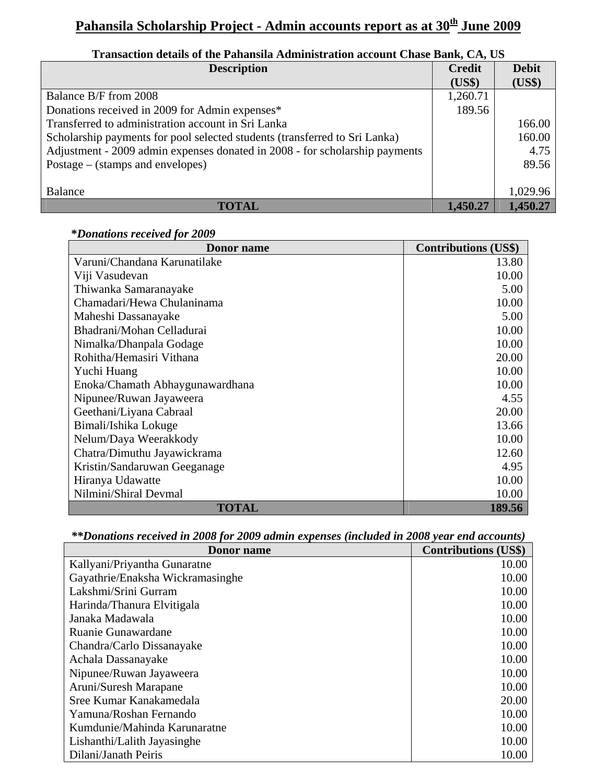## **Pahansila Scholarship Project - Admin accounts report as at 30th June 2009**

| Transaction details of the Pahansila Administration account Chase Bank, CA, US |               |              |
|--------------------------------------------------------------------------------|---------------|--------------|
| <b>Description</b>                                                             | <b>Credit</b> | <b>Debit</b> |
|                                                                                | (US\$)        | (US\$)       |
| Balance B/F from 2008                                                          | 1,260.71      |              |
| Donations received in 2009 for Admin expenses*                                 | 189.56        |              |
| Transferred to administration account in Sri Lanka                             |               | 166.00       |
| Scholarship payments for pool selected students (transferred to Sri Lanka)     |               | 160.00       |
| Adjustment - 2009 admin expenses donated in 2008 - for scholarship payments    |               | 4.75         |
| Postage $-$ (stamps and envelopes)                                             |               | 89.56        |
|                                                                                |               |              |
| <b>Balance</b>                                                                 |               | 1,029.96     |
| TOTAL                                                                          | 1,450.27      | 1,450.27     |

## **\****Donations received for 2009*

| <b>Donor</b> name               | <b>Contributions (US\$)</b> |
|---------------------------------|-----------------------------|
| Varuni/Chandana Karunatilake    | 13.80                       |
| Viji Vasudevan                  | 10.00                       |
| Thiwanka Samaranayake           | 5.00                        |
| Chamadari/Hewa Chulaninama      | 10.00                       |
| Maheshi Dassanayake             | 5.00                        |
| Bhadrani/Mohan Celladurai       | 10.00                       |
| Nimalka/Dhanpala Godage         | 10.00                       |
| Rohitha/Hemasiri Vithana        | 20.00                       |
| Yuchi Huang                     | 10.00                       |
| Enoka/Chamath Abhaygunawardhana | 10.00                       |
| Nipunee/Ruwan Jayaweera         | 4.55                        |
| Geethani/Liyana Cabraal         | 20.00                       |
| Bimali/Ishika Lokuge            | 13.66                       |
| Nelum/Daya Weerakkody           | 10.00                       |
| Chatra/Dimuthu Jayawickrama     | 12.60                       |
| Kristin/Sandaruwan Geeganage    | 4.95                        |
| Hiranya Udawatte                | 10.00                       |
| Nilmini/Shiral Devmal           | 10.00                       |
| TOTAL                           | 189.56                      |

*\*\*Donations received in 2008 for 2009 admin expenses (included in 2008 year end accounts)*

| <b>Donor name</b>                | <b>Contributions (US\$)</b> |
|----------------------------------|-----------------------------|
| Kallyani/Priyantha Gunaratne     | 10.00                       |
| Gayathrie/Enaksha Wickramasinghe | 10.00                       |
| Lakshmi/Srini Gurram             | 10.00                       |
| Harinda/Thanura Elvitigala       | 10.00                       |
| Janaka Madawala                  | 10.00                       |
| Ruanie Gunawardane               | 10.00                       |
| Chandra/Carlo Dissanayake        | 10.00                       |
| Achala Dassanayake               | 10.00                       |
| Nipunee/Ruwan Jayaweera          | 10.00                       |
| Aruni/Suresh Marapane            | 10.00                       |
| Sree Kumar Kanakamedala          | 20.00                       |
| Yamuna/Roshan Fernando           | 10.00                       |
| Kumdunie/Mahinda Karunaratne     | 10.00                       |
| Lishanthi/Lalith Jayasinghe      | 10.00                       |
| Dilani/Janath Peiris             | 10.00                       |